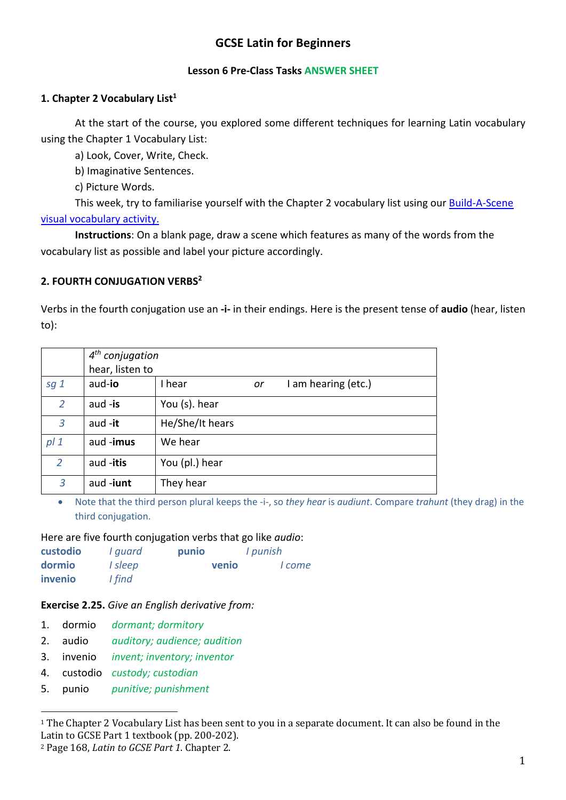# **GCSE Latin for Beginners**

#### **Lesson 6 Pre-Class Tasks ANSWER SHEET**

### **1. Chapter 2 Vocabulary List1**

At the start of the course, you explored some different techniques for learning Latin vocabulary using the Chapter 1 Vocabulary List:

a) Look, Cover, Write, Check.

b) Imaginative Sentences.

c) Picture Words.

This week, try to familiarise yourself with the Chapter 2 vocabulary list using our Build-A-Scene visual vocabulary activity.

**Instructions**: On a blank page, draw a scene which features as many of the words from the vocabulary list as possible and label your picture accordingly.

### **2. FOURTH CONJUGATION VERBS2**

Verbs in the fourth conjugation use an **-i-** in their endings. Here is the present tense of **audio** (hear, listen to):

|                 | $4th$ conjugation |                                     |  |  |  |  |  |
|-----------------|-------------------|-------------------------------------|--|--|--|--|--|
|                 | hear, listen to   |                                     |  |  |  |  |  |
| sg <sub>1</sub> | aud-io            | I hear<br>I am hearing (etc.)<br>or |  |  |  |  |  |
| 2               | aud $-$ is        | You (s). hear                       |  |  |  |  |  |
| 3               | aud $-it$         | He/She/It hears                     |  |  |  |  |  |
| pl <sub>1</sub> | aud -imus         | We hear                             |  |  |  |  |  |
| 2               | aud -itis         | You (pl.) hear                      |  |  |  |  |  |
| 3               | aud-iunt          | They hear                           |  |  |  |  |  |

• Note that the third person plural keeps the -i-, so *they hear* is *audiunt*. Compare *trahunt* (they drag) in the third conjugation.

### Here are five fourth conjugation verbs that go like *audio*:

| custodio | I quard | punio | I punish |  |
|----------|---------|-------|----------|--|
| dormio   | I sleep | venio | I come   |  |
| invenio  | I find  |       |          |  |

### **Exercise 2.25.** *Give an English derivative from:*

- 1. dormio *dormant; dormitory*
- 2. audio *auditory; audience; audition*
- 3. invenio *invent; inventory; inventor*
- 4. custodio *custody; custodian*
- 5. punio *punitive; punishment*

 $1$  The Chapter 2 Vocabulary List has been sent to you in a separate document. It can also be found in the Latin to GCSE Part 1 textbook (pp. 200-202).

<sup>&</sup>lt;sup>2</sup> Page 168, *Latin to GCSE Part 1*. Chapter 2.